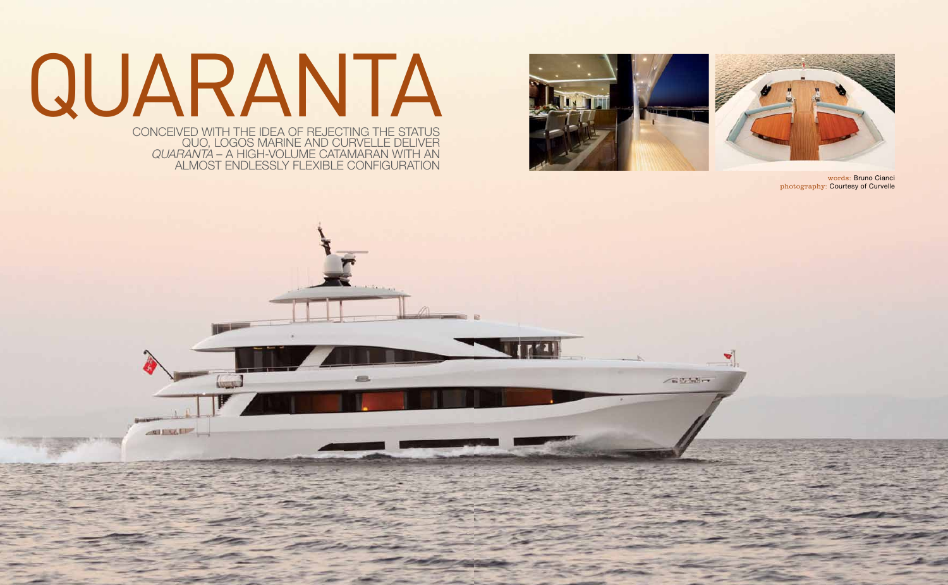







words: Bruno Cianci photography: Courtesy of Curvelle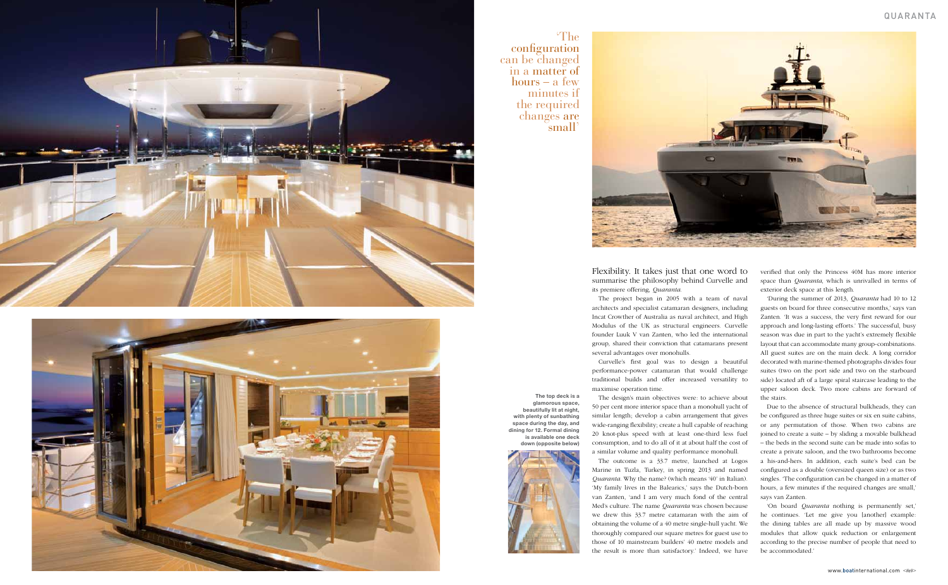Flexibility. It takes just that one word to summarise the philosophy behind Curvelle and its premiere offering, *Quaranta*.

The project began in 2005 with a team of naval architects and specialist catamaran designers, including Incat Crowther of Australia as naval architect, and High Modulus of the UK as structural engineers. Curvelle founder Luuk V van Zanten, who led the international group, shared their conviction that catamarans present several advantages over monohulls.

Curvelle's first goal was to design a beautiful performance-power catamaran that would challenge traditional builds and offer increased versatility to maximise operation time.

The design's main objectives were: to achieve about 50 per cent more interior space than a monohull yacht of similar length; develop a cabin arrangement that gives wide-ranging flexibility; create a hull capable of reaching 20 knot-plus speed with at least one-third less fuel consumption, and to do all of it at about half the cost of a similar volume and quality performance monohull.

The outcome is a 33.7 metre, launched at Logos Marine in Tuzla, Turkey, in spring 2013 and named *Quaranta*. Why the name? (which means '40' in Italian). 'My family lives in the Balearics,' says the Dutch-born van Zanten, 'and I am very much fond of the central Med's culture. The name *Quaranta* was chosen because we drew this 33.7 metre catamaran with the aim of obtaining the volume of a 40 metre single-hull yacht. We thoroughly compared our square metres for guest use to those of 10 mainstream builders' 40 metre models and the result is more than satisfactory.' Indeed, we have

verified that only the Princess 40M has more interior space than *Quaranta*, which is unrivalled in terms of exterior deck space at this length.

'During the summer of 2013, *Quaranta* had 10 to 12 guests on board for three consecutive months,' says van Zanten. 'It was a success, the very first reward for our approach and long-lasting efforts.' The successful, busy season was due in part to the yacht's extremely flexible layout that can accommodate many group-combinations. All guest suites are on the main deck. A long corridor decorated with marine-themed photographs divides four suites (two on the port side and two on the starboard side) located aft of a large spiral staircase leading to the upper saloon deck. Two more cabins are forward of the stairs.

Due to the absence of structural bulkheads, they can be configured as three huge suites or six en suite cabins, or any permutation of those. When two cabins are joined to create a suite – by sliding a movable bulkhead – the beds in the second suite can be made into sofas to create a private saloon, and the two bathrooms become a his-and-hers. In addition, each suite's bed can be configured as a double (oversized queen size) or as two singles. 'The configuration can be changed in a matter of hours, a few minutes if the required changes are small,' says van Zanten.

'On board *Quaranta* nothing is permanently set,' he continues. 'Let me give you [another] example: the dining tables are all made up by massive wood modules that allow quick reduction or enlargement according to the precise number of people that need to be accommodated.'





'The configuration can be changed in a matter of hours – a few minutes if the required changes are small'

> **The top deck is a glamorous space, beautifully lit at night, with plenty of sunbathing space during the day, and dining for 12. Formal dining is available one deck down (opposite below)**

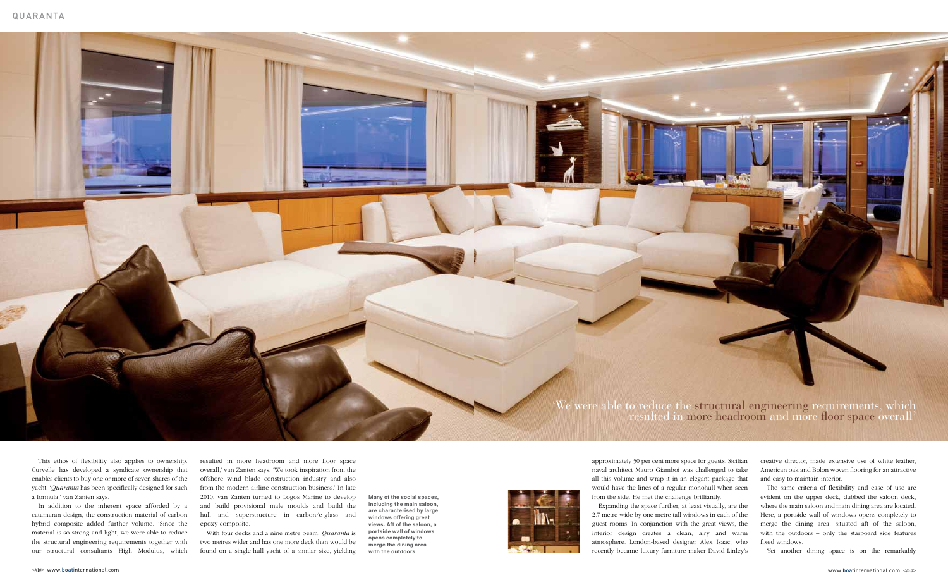

This ethos of flexibility also applies to ownership. Curvelle has developed a syndicate ownership that enables clients to buy one or more of seven shares of the yacht. '*Quaranta* has been specifically designed for such a formula,' van Zanten says.

In addition to the inherent space afforded by a catamaran design, the construction material of carbon hybrid composite added further volume. 'Since the material is so strong and light, we were able to reduce the structural engineering requirements together with our structural consultants High Modulus, which resulted in more headroom and more floor space overall,' van Zanten says. 'We took inspiration from the offshore wind blade construction industry and also from the modern airline construction business.' In late 2010, van Zanten turned to Logos Marine to develop and build provisional male moulds and build the hull and superstructure in carbon/e-glass and epoxy composite.

With four decks and a nine metre beam, *Quaranta* is two metres wider and has one more deck than would be found on a single-hull yacht of a similar size, yielding approximately 50 per cent more space for guests. Sicilian naval architect Mauro Giamboi was challenged to take all this volume and wrap it in an elegant package that would have the lines of a regular monohull when seen from the side. He met the challenge brilliantly.

Expanding the space further, at least visually, are the 2.7 metre wide by one metre tall windows in each of the guest rooms. In conjunction with the great views, the interior design creates a clean, airy and warm atmosphere. London-based designer Alex Isaac, who recently became luxury furniture maker David Linley's creative director, made extensive use of white leather, American oak and Bolon woven flooring for an attractive and easy-to-maintain interior.

The same criteria of flexibility and ease of use are evident on the upper deck, dubbed the saloon deck, where the main saloon and main dining area are located. Here, a portside wall of windows opens completely to merge the dining area, situated aft of the saloon, with the outdoors – only the starboard side features fixed windows.

Yet another dining space is on the remarkably

'We were able to reduce the structural engineering requirements, which resulted in more headroom and more floor space overall'

**Many of the social spaces, including the main saloon, are characterised by large windows offering great views. Aft of the saloon, a portside wall of windows opens completely to merge the dining area with the outdoors**

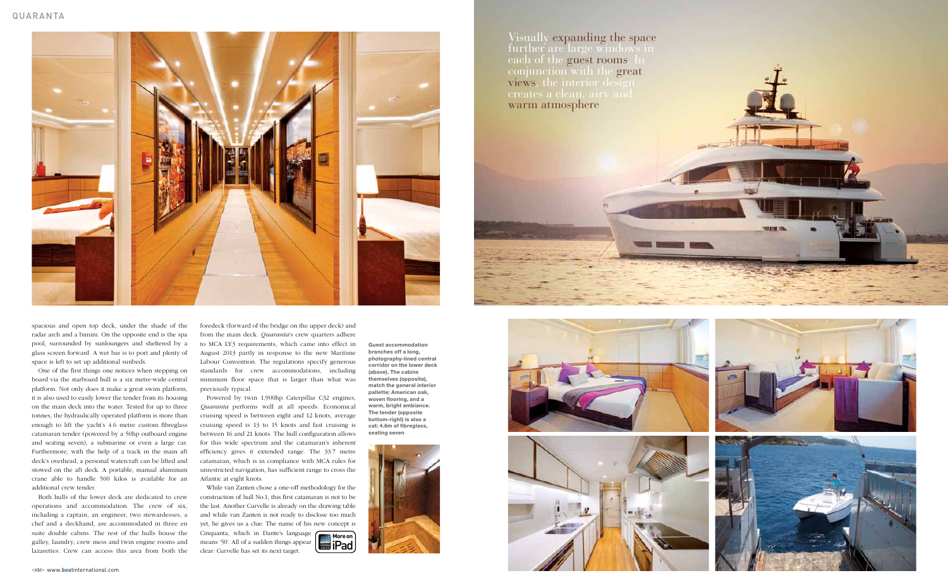





spacious and open top deck, under the shade of the radar arch and a bimini. On the opposite end is the spa pool, surrounded by sunloungers and sheltered by a glass screen forward. A wet bar is to port and plenty of space is left to set up additional sunbeds.

One of the first things one notices when stepping on board via the starboard hull is a six metre-wide central platform. Not only does it make a great swim platform, it is also used to easily lower the tender from its housing on the main deck into the water. Tested for up to three tonnes, the hydraulically operated platform is more than enough to lift the yacht's 4.6 metre custom fibreglass catamaran tender (powered by a 50hp outboard engine and seating seven), a submarine or even a large car. Furthermore, with the help of a track in the main aft deck's overhead, a personal watercraft can be lifted and stowed on the aft deck. A portable, manual aluminum crane able to handle 500 kilos is available for an additional crew tender.

While van Zanten chose a one-off methodology for the construction of hull No.1, this first catamaran is not to be the last. Another Curvelle is already on the drawing table and while van Zanten is not ready to disclose too much yet, he gives us a clue. The name of his new concept is Cinquanta, which in Dante's language **More on** means '50'. All of a sudden things appear clear: Curvelle has set its next target. **i**Pad

Both hulls of the lower deck are dedicated to crew operations and accommodation. The crew of six, including a captain, an engineer, two stewardesses, a chef and a deckhand, are accommodated in three en suite double cabins. The rest of the hulls house the galley, laundry, crew mess and twin engine rooms and lazarettes. Crew can access this area from both the foredeck (forward of the bridge on the upper deck) and from the main deck. *Quaranta*'s crew quarters adhere to MCA LY3 requirements, which came into effect in August 2013 partly in response to the new Maritime Labour Convention. The regulations specify generous standards for crew accommodations, including minimum floor space that is larger than what was previously typical.

Powered by twin 1,900hp Caterpillar C32 engines, *Quaranta* performs well at all speeds. Economical cruising speed is between eight and 12 knots, average cruising speed is 13 to 15 knots and fast cruising is between 16 and 21 knots. The hull configuration allows for this wide spectrum and the catamaran's inherent efficiency gives it extended range. The 33.7 metre catamaran, which is in compliance with MCA rules for unrestricted navigation, has sufficient range to cross the Atlantic at eight knots.







**Guest accommodation branches off a long, photography-lined central corridor on the lower deck (above). The cabins themselves (opposite), match the general interior pallette: American oak, woven flooring, and a warm, bright ambiance. The tender (opposite bottom-right) is also a cat: 4.6m of fibreglass, seating seven**